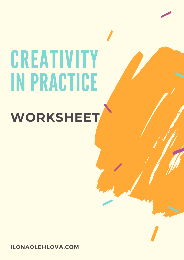# **CREATIVITY IN PRACTICE**

# **WORKSHEET**

**ILONAOLEHLOVA.COM**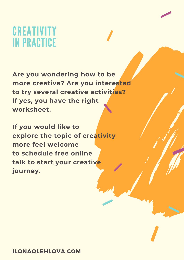# **CREATIVITY IN PRACTICE**

**Are you wondering how to be more creative? Are you interested to try several creative activities? If yes, you have the right worksheet.**

**If you would like to explore the topic of creativity more feel welcome to schedule free online talk to start your creative journey.**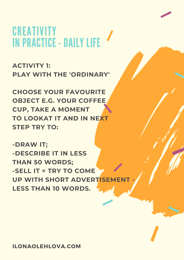# **CREATIVITY** INPRACTICE - DAILY LIFE

**ACTIVITY 1: PLAY WITH THE 'ORDINARY'**

**CHOOSE YOUR FAVOURITE OBJECT E.G. YOUR COFFEE CUP, TAKE A MOMENT TO LOOKAT IT AND IN NEXT STEP TRY TO:**

**-DRAW IT; -DESCRIBE IT IN LESS THAN 50 WORDS; -SELL IT = TRY TO COME UP WITH SHORT ADVERTISEMENT - LESS THAN 10 WORDS.**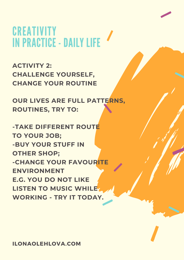# **CREATIVITY** INPRACTICE - DAILY LIFE

**ACTIVITY 2: CHALLENGE YOURSELF, CHANGE YOUR ROUTINE**

**OUR LIVES ARE FULL PATTERNS, ROUTINES, TRY TO:**

**-TAKE DIFFERENT ROUTE TO YOUR JOB; -BUY YOUR STUFF IN OTHER SHOP; -CHANGE YOUR FAVOURITE ENVIRONMENT E.G. YOU DO NOT LIKE LISTEN TO MUSIC WHILE WORKING - TRY IT TODAY.**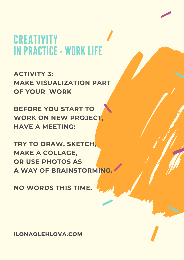# **CREATIVITY** INPRACTICE - WORK LIFE

**ACTIVITY 3: MAKE VISUALIZATION PART OF YOUR WORK**

**BEFORE YOU START TO WORK ON NEW PROJECT, HAVE A MEETING:**

**TRY TO DRAW, SKETCH, MAKE A COLLAGE, OR USE PHOTOS AS A WAY OF BRAINSTORMING.**

**NO WORDS THIS TIME.**

**ILONAOLEHLOVA.COM**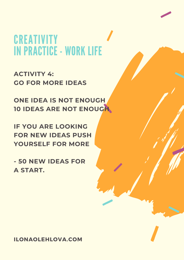# **CREATIVITY** INPRACTICE - WORK LIFE

**ACTIVITY 4: GO FOR MORE IDEAS**

**ONE IDEA IS NOT ENOUGH 10 IDEAS ARE NOT ENOUGH**

**IF YOU ARE LOOKING FOR NEW IDEAS PUSH YOURSELF FOR MORE**

**- 50 NEW IDEAS FOR A START.**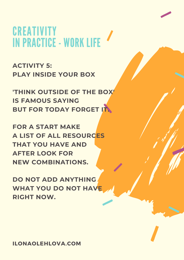# **CREATIVITY** IN PRACTICE - WORK LIFE

**ACTIVITY 5: PLAY INSIDE YOUR BOX**

**'THINK OUTSIDE OF THE BOX' IS FAMOUS SAYING BUT FOR TODAY FORGET IT.**

**FOR A START MAKE A LIST OF ALL RESOURCES THAT YOU HAVE AND AFTER LOOK FOR NEW COMBINATIONS.**

**DO NOT ADD ANYTHING WHAT YOU DO NOT HAVE RIGHT NOW.**